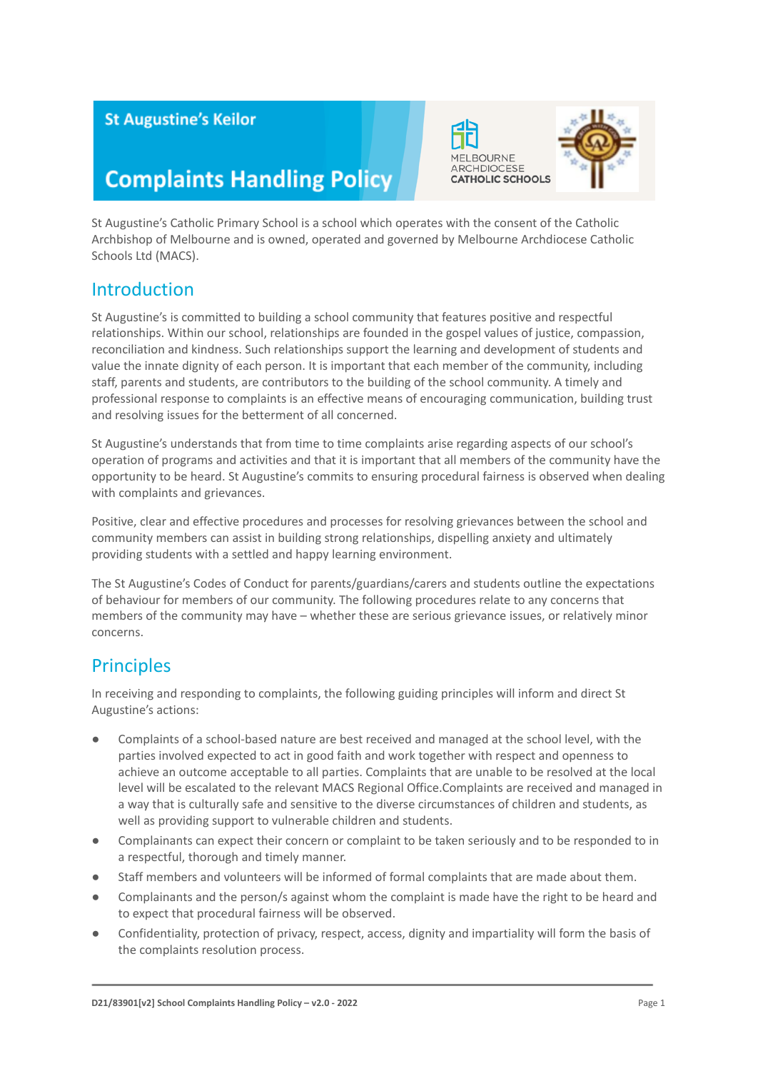### **St Augustine's Keilor**

# **Complaints Handling Policy**

St Augustine's Catholic Primary School is a school which operates with the consent of the Catholic Archbishop of Melbourne and is owned, operated and governed by Melbourne Archdiocese Catholic Schools Ltd (MACS).

### **Introduction**

St Augustine's is committed to building a school community that features positive and respectful relationships. Within our school, relationships are founded in the gospel values of justice, compassion, reconciliation and kindness. Such relationships support the learning and development of students and value the innate dignity of each person. It is important that each member of the community, including staff, parents and students, are contributors to the building of the school community. A timely and professional response to complaints is an effective means of encouraging communication, building trust and resolving issues for the betterment of all concerned.

St Augustine's understands that from time to time complaints arise regarding aspects of our school's operation of programs and activities and that it is important that all members of the community have the opportunity to be heard. St Augustine's commits to ensuring procedural fairness is observed when dealing with complaints and grievances.

Positive, clear and effective procedures and processes for resolving grievances between the school and community members can assist in building strong relationships, dispelling anxiety and ultimately providing students with a settled and happy learning environment.

The St Augustine's Codes of Conduct for parents/guardians/carers and students outline the expectations of behaviour for members of our community. The following procedures relate to any concerns that members of the community may have – whether these are serious grievance issues, or relatively minor concerns.

### **Principles**

In receiving and responding to complaints, the following guiding principles will inform and direct St Augustine's actions:

- Complaints of a school-based nature are best received and managed at the school level, with the parties involved expected to act in good faith and work together with respect and openness to achieve an outcome acceptable to all parties. Complaints that are unable to be resolved at the local level will be escalated to the relevant MACS Regional Office.Complaints are received and managed in a way that is culturally safe and sensitive to the diverse circumstances of children and students, as well as providing support to vulnerable children and students.
- Complainants can expect their concern or complaint to be taken seriously and to be responded to in a respectful, thorough and timely manner.
- Staff members and volunteers will be informed of formal complaints that are made about them.
- Complainants and the person/s against whom the complaint is made have the right to be heard and to expect that procedural fairness will be observed.
- Confidentiality, protection of privacy, respect, access, dignity and impartiality will form the basis of the complaints resolution process.

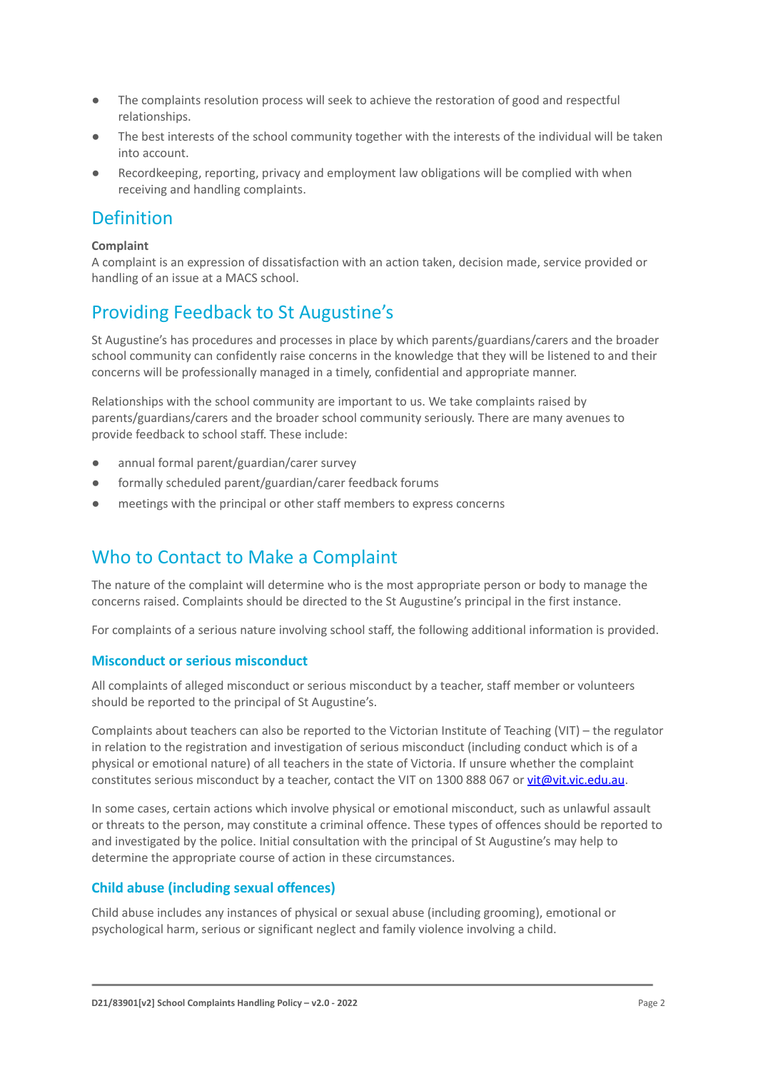- The complaints resolution process will seek to achieve the restoration of good and respectful relationships.
- The best interests of the school community together with the interests of the individual will be taken into account.
- Recordkeeping, reporting, privacy and employment law obligations will be complied with when receiving and handling complaints.

### Definition

#### **Complaint**

A complaint is an expression of dissatisfaction with an action taken, decision made, service provided or handling of an issue at a MACS school.

### Providing Feedback to St Augustine's

St Augustine's has procedures and processes in place by which parents/guardians/carers and the broader school community can confidently raise concerns in the knowledge that they will be listened to and their concerns will be professionally managed in a timely, confidential and appropriate manner.

Relationships with the school community are important to us. We take complaints raised by parents/guardians/carers and the broader school community seriously. There are many avenues to provide feedback to school staff. These include:

- annual formal parent/guardian/carer survey
- formally scheduled parent/guardian/carer feedback forums
- meetings with the principal or other staff members to express concerns

### Who to Contact to Make a Complaint

The nature of the complaint will determine who is the most appropriate person or body to manage the concerns raised. Complaints should be directed to the St Augustine's principal in the first instance.

For complaints of a serious nature involving school staff, the following additional information is provided.

#### **Misconduct or serious misconduct**

All complaints of alleged misconduct or serious misconduct by a teacher, staff member or volunteers should be reported to the principal of St Augustine's.

Complaints about teachers can also be reported to the Victorian Institute of Teaching (VIT) – the regulator in relation to the registration and investigation of serious misconduct (including conduct which is of a physical or emotional nature) of all teachers in the state of Victoria. If unsure whether the complaint constitutes serious misconduct by a teacher, contact the VIT on 1300 888 067 or [vit@vit.vic.edu.au](mailto:vit@vit.vic.edu.au).

In some cases, certain actions which involve physical or emotional misconduct, such as unlawful assault or threats to the person, may constitute a criminal offence. These types of offences should be reported to and investigated by the police. Initial consultation with the principal of St Augustine's may help to determine the appropriate course of action in these circumstances.

#### **Child abuse (including sexual offences)**

Child abuse includes any instances of physical or sexual abuse (including grooming), emotional or psychological harm, serious or significant neglect and family violence involving a child.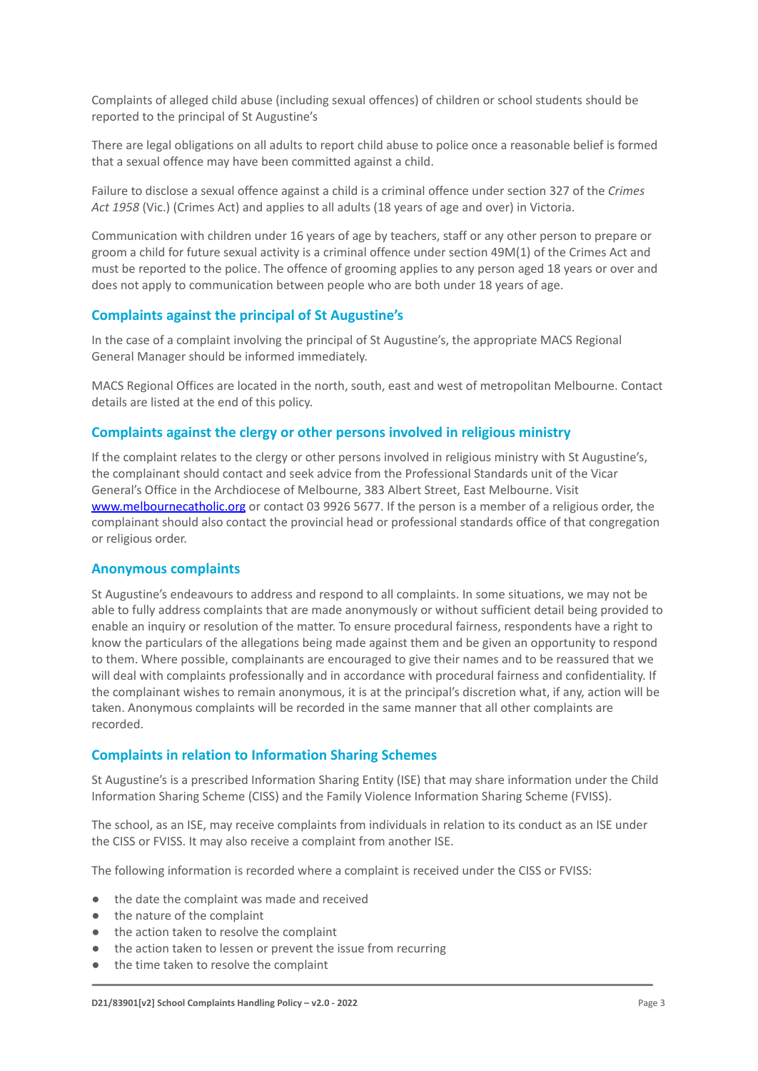Complaints of alleged child abuse (including sexual offences) of children or school students should be reported to the principal of St Augustine's

There are legal obligations on all adults to report child abuse to police once a reasonable belief is formed that a sexual offence may have been committed against a child.

Failure to disclose a sexual offence against a child is a criminal offence under section 327 of the *Crimes Act 1958* (Vic.) (Crimes Act) and applies to all adults (18 years of age and over) in Victoria.

Communication with children under 16 years of age by teachers, staff or any other person to prepare or groom a child for future sexual activity is a criminal offence under section 49M(1) of the Crimes Act and must be reported to the police. The offence of grooming applies to any person aged 18 years or over and does not apply to communication between people who are both under 18 years of age.

#### **Complaints against the principal of St Augustine's**

In the case of a complaint involving the principal of St Augustine's, the appropriate MACS Regional General Manager should be informed immediately.

MACS Regional Offices are located in the north, south, east and west of metropolitan Melbourne. Contact details are listed at the end of this policy.

#### **Complaints against the clergy or other persons involved in religious ministry**

If the complaint relates to the clergy or other persons involved in religious ministry with St Augustine's, the complainant should contact and seek advice from the Professional Standards unit of the Vicar General's Office in the Archdiocese of Melbourne, 383 Albert Street, East Melbourne. Visit [www.melbournecatholic.org](http://www.melbournecatholic.org) or contact 03 9926 5677. If the person is a member of a religious order, the complainant should also contact the provincial head or professional standards office of that congregation or religious order.

#### **Anonymous complaints**

St Augustine's endeavours to address and respond to all complaints. In some situations, we may not be able to fully address complaints that are made anonymously or without sufficient detail being provided to enable an inquiry or resolution of the matter. To ensure procedural fairness, respondents have a right to know the particulars of the allegations being made against them and be given an opportunity to respond to them. Where possible, complainants are encouraged to give their names and to be reassured that we will deal with complaints professionally and in accordance with procedural fairness and confidentiality. If the complainant wishes to remain anonymous, it is at the principal's discretion what, if any, action will be taken. Anonymous complaints will be recorded in the same manner that all other complaints are recorded.

#### **Complaints in relation to Information Sharing Schemes**

St Augustine's is a prescribed Information Sharing Entity (ISE) that may share information under the Child Information Sharing Scheme (CISS) and the Family Violence Information Sharing Scheme (FVISS).

The school, as an ISE, may receive complaints from individuals in relation to its conduct as an ISE under the CISS or FVISS. It may also receive a complaint from another ISE.

The following information is recorded where a complaint is received under the CISS or FVISS:

- the date the complaint was made and received
- the nature of the complaint
- the action taken to resolve the complaint
- the action taken to lessen or prevent the issue from recurring
- the time taken to resolve the complaint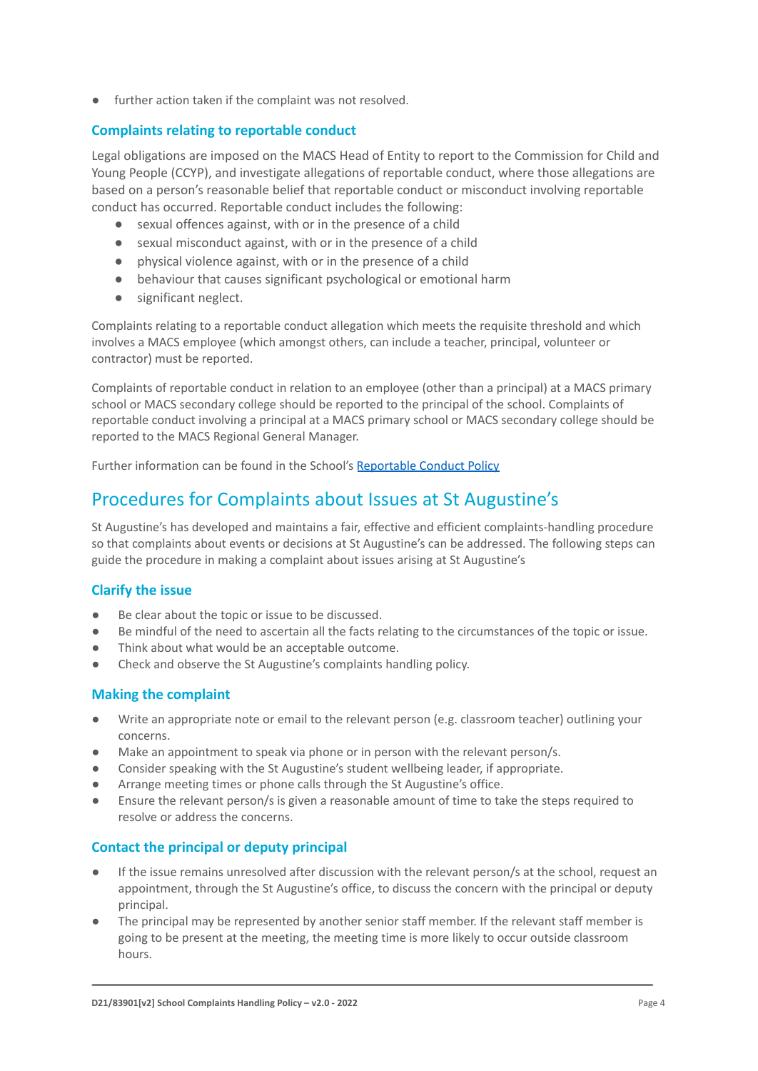● further action taken if the complaint was not resolved.

#### **Complaints relating to reportable conduct**

Legal obligations are imposed on the MACS Head of Entity to report to the Commission for Child and Young People (CCYP), and investigate allegations of reportable conduct, where those allegations are based on a person's reasonable belief that reportable conduct or misconduct involving reportable conduct has occurred. Reportable conduct includes the following:

- sexual offences against, with or in the presence of a child
- sexual misconduct against, with or in the presence of a child
- physical violence against, with or in the presence of a child
- behaviour that causes significant psychological or emotional harm
- significant neglect.

Complaints relating to a reportable conduct allegation which meets the requisite threshold and which involves a MACS employee (which amongst others, can include a teacher, principal, volunteer or contractor) must be reported.

Complaints of reportable conduct in relation to an employee (other than a principal) at a MACS primary school or MACS secondary college should be reported to the principal of the school. Complaints of reportable conduct involving a principal at a MACS primary school or MACS secondary college should be reported to the MACS Regional General Manager.

Further information can be found in the School's Reportable [Conduct Policy](https://docs.google.com/document/d/1DeszpLOjAkX4EMcuZZurjMZewwQ6bsOYVavpZ_C2xZU/edit?usp=sharing)

# Procedures for Complaints about Issues at St Augustine's

St Augustine's has developed and maintains a fair, effective and efficient complaints-handling procedure so that complaints about events or decisions at St Augustine's can be addressed. The following steps can guide the procedure in making a complaint about issues arising at St Augustine's

#### **Clarify the issue**

- Be clear about the topic or issue to be discussed.
- Be mindful of the need to ascertain all the facts relating to the circumstances of the topic or issue.
- Think about what would be an acceptable outcome.
- Check and observe the St Augustine's complaints handling policy.

#### **Making the complaint**

- Write an appropriate note or email to the relevant person (e.g. classroom teacher) outlining your concerns.
- Make an appointment to speak via phone or in person with the relevant person/s.
- Consider speaking with the St Augustine's student wellbeing leader, if appropriate.
- Arrange meeting times or phone calls through the St Augustine's office.
- Ensure the relevant person/s is given a reasonable amount of time to take the steps required to resolve or address the concerns.

#### **Contact the principal or deputy principal**

- If the issue remains unresolved after discussion with the relevant person/s at the school, request an appointment, through the St Augustine's office, to discuss the concern with the principal or deputy principal.
- The principal may be represented by another senior staff member. If the relevant staff member is going to be present at the meeting, the meeting time is more likely to occur outside classroom hours.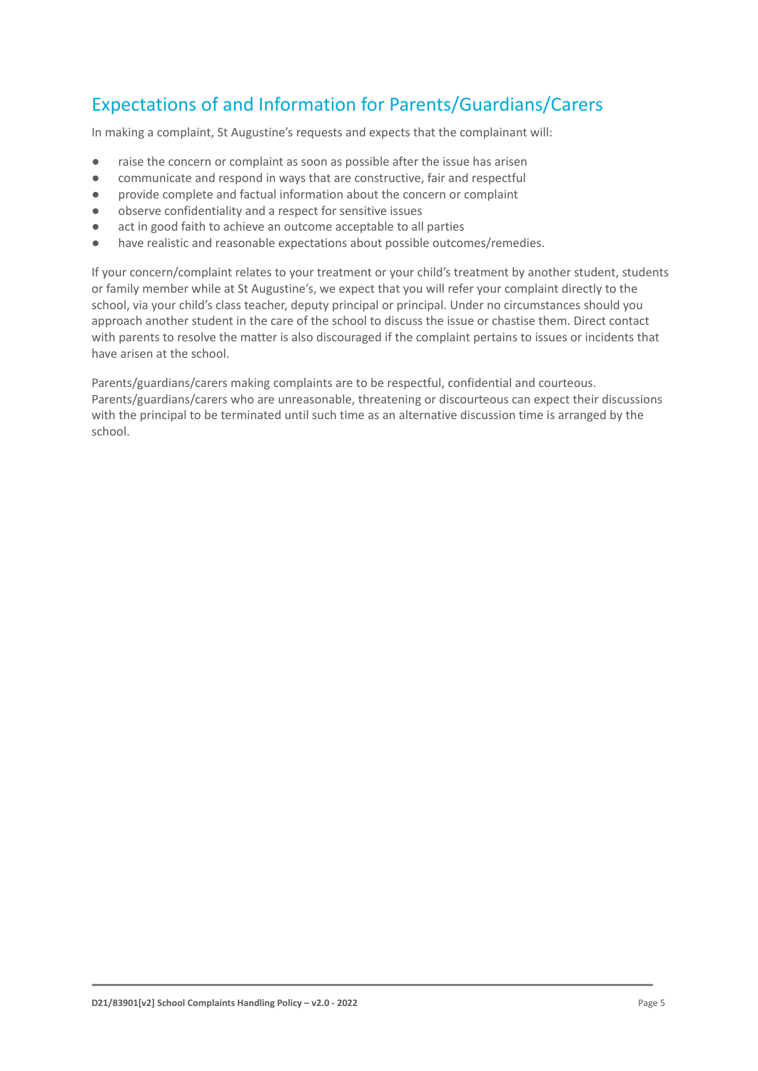## Expectations of and Information for Parents/Guardians/Carers

In making a complaint, St Augustine's requests and expects that the complainant will:

- raise the concern or complaint as soon as possible after the issue has arisen
- communicate and respond in ways that are constructive, fair and respectful
- provide complete and factual information about the concern or complaint
- observe confidentiality and a respect for sensitive issues
- act in good faith to achieve an outcome acceptable to all parties
- have realistic and reasonable expectations about possible outcomes/remedies.

If your concern/complaint relates to your treatment or your child's treatment by another student, students or family member while at St Augustine's, we expect that you will refer your complaint directly to the school, via your child's class teacher, deputy principal or principal. Under no circumstances should you approach another student in the care of the school to discuss the issue or chastise them. Direct contact with parents to resolve the matter is also discouraged if the complaint pertains to issues or incidents that have arisen at the school.

Parents/guardians/carers making complaints are to be respectful, confidential and courteous. Parents/guardians/carers who are unreasonable, threatening or discourteous can expect their discussions with the principal to be terminated until such time as an alternative discussion time is arranged by the school.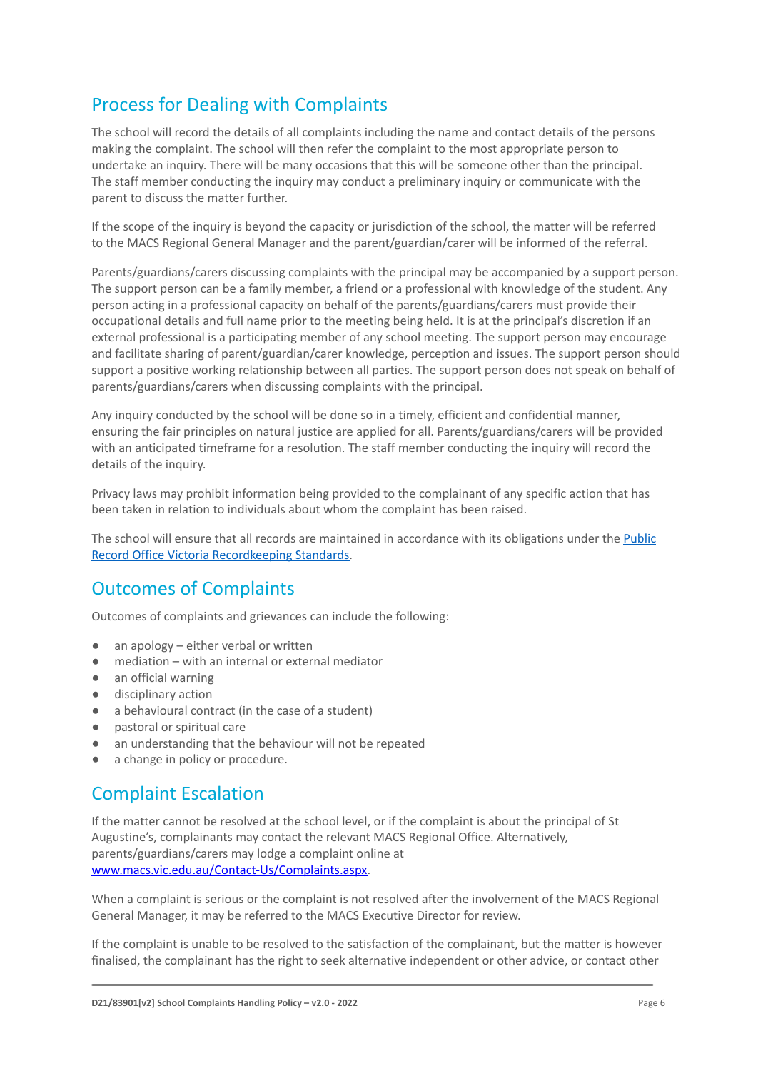# Process for Dealing with Complaints

The school will record the details of all complaints including the name and contact details of the persons making the complaint. The school will then refer the complaint to the most appropriate person to undertake an inquiry. There will be many occasions that this will be someone other than the principal. The staff member conducting the inquiry may conduct a preliminary inquiry or communicate with the parent to discuss the matter further.

If the scope of the inquiry is beyond the capacity or jurisdiction of the school, the matter will be referred to the MACS Regional General Manager and the parent/guardian/carer will be informed of the referral.

Parents/guardians/carers discussing complaints with the principal may be accompanied by a support person. The support person can be a family member, a friend or a professional with knowledge of the student. Any person acting in a professional capacity on behalf of the parents/guardians/carers must provide their occupational details and full name prior to the meeting being held. It is at the principal's discretion if an external professional is a participating member of any school meeting. The support person may encourage and facilitate sharing of parent/guardian/carer knowledge, perception and issues. The support person should support a positive working relationship between all parties. The support person does not speak on behalf of parents/guardians/carers when discussing complaints with the principal.

Any inquiry conducted by the school will be done so in a timely, efficient and confidential manner, ensuring the fair principles on natural justice are applied for all. Parents/guardians/carers will be provided with an anticipated timeframe for a resolution. The staff member conducting the inquiry will record the details of the inquiry.

Privacy laws may prohibit information being provided to the complainant of any specific action that has been taken in relation to individuals about whom the complaint has been raised.

The school will ensure that all records are maintained in accordance with its obligations under the [Public](https://prov.vic.gov.au/recordkeeping-government/standards-framework) [Record Office Victoria Recordkeeping Standards.](https://prov.vic.gov.au/recordkeeping-government/standards-framework)

### Outcomes of Complaints

Outcomes of complaints and grievances can include the following:

- an apology either verbal or written
- mediation with an internal or external mediator
- an official warning
- disciplinary action
- a behavioural contract (in the case of a student)
- pastoral or spiritual care
- an understanding that the behaviour will not be repeated
- a change in policy or procedure.

### Complaint Escalation

If the matter cannot be resolved at the school level, or if the complaint is about the principal of St Augustine's, complainants may contact the relevant MACS Regional Office. Alternatively, parents/guardians/carers may lodge a complaint online at [www.macs.vic.edu.au/Contact-Us/Complaints.aspx.](http://www.macs.vic.edu.au/Contact-Us/Complaints.aspx)

When a complaint is serious or the complaint is not resolved after the involvement of the MACS Regional General Manager, it may be referred to the MACS Executive Director for review.

If the complaint is unable to be resolved to the satisfaction of the complainant, but the matter is however finalised, the complainant has the right to seek alternative independent or other advice, or contact other